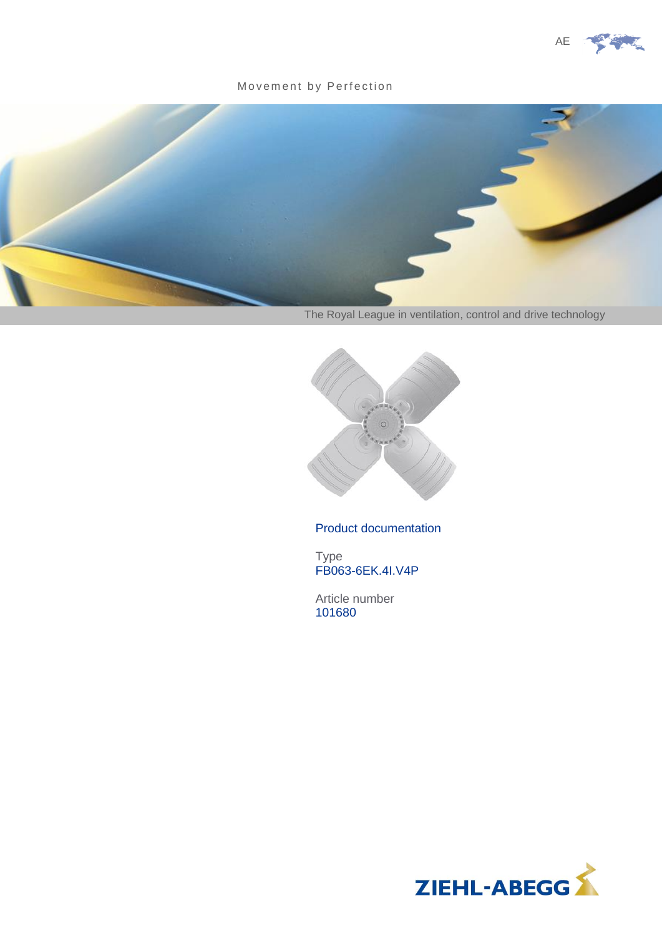

#### Movement by Perfection



The Royal League in ventilation, control and drive technology



### Product documentation

Type FB063-6EK.4I.V4P

Article number 101680

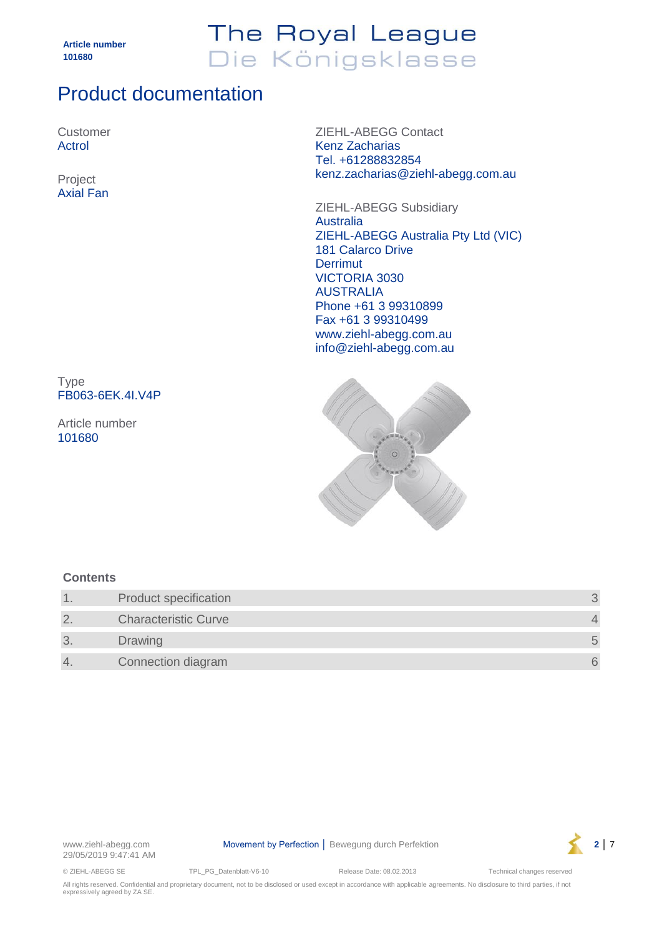## The Royal League Die Königsklasse

## Product documentation

Customer Actrol

Axial Fan

ZIEHL-ABEGG Contact Kenz Zacharias Tel. +61288832854 kenz.zacharias@ziehl-abegg.com.au Project

> ZIEHL-ABEGG Subsidiary **Australia** ZIEHL-ABEGG Australia Pty Ltd (VIC) 181 Calarco Drive **Derrimut** VICTORIA 3030 AUSTRALIA Phone +61 3 99310899 Fax +61 3 99310499 www.ziehl-abegg.com.au info@ziehl-abegg.com.au

Type FB063-6EK.4I.V4P

Article number 101680



### **Contents**

|                | <b>Product specification</b> |  |
|----------------|------------------------------|--|
| $\overline{2}$ | <b>Characteristic Curve</b>  |  |
| 3              | <b>Drawing</b>               |  |
| 4.             | Connection diagram           |  |



© ZIEHL-ABEGG SE TPL\_PG\_Datenblatt-V6-10 Release Date: 08.02.2013 Technical changes reserved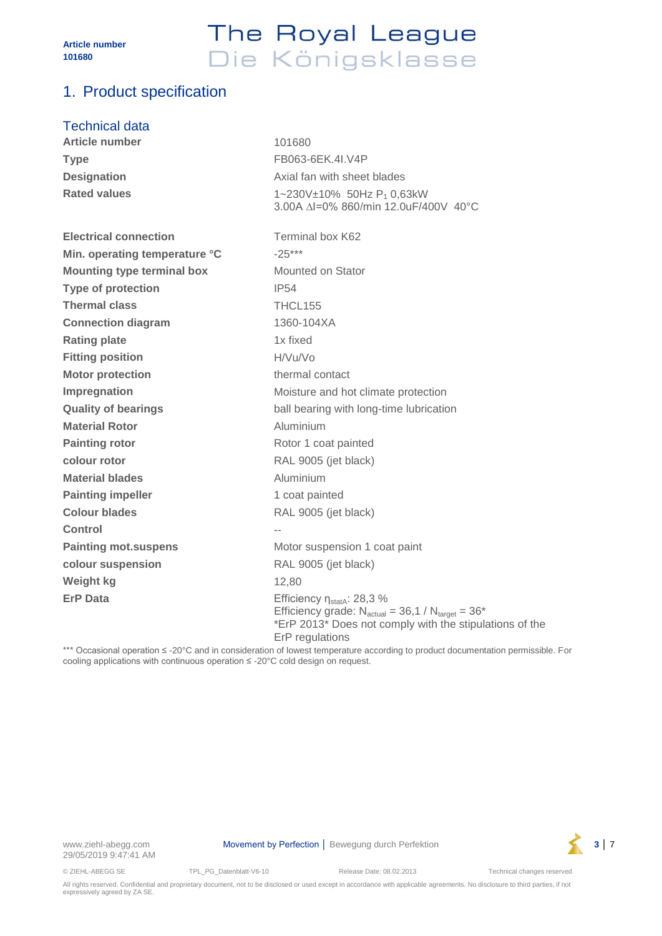## The Royal League Die Königsklasse

### <span id="page-2-0"></span>1. Product specification

#### Technical data

| <b>Article number</b>             | 101680                                                                                                                                                                             |  |
|-----------------------------------|------------------------------------------------------------------------------------------------------------------------------------------------------------------------------------|--|
| <b>Type</b>                       | FB063-6EK.4I.V4P                                                                                                                                                                   |  |
| <b>Designation</b>                | Axial fan with sheet blades                                                                                                                                                        |  |
| <b>Rated values</b>               | $1 \sim 230V \pm 10\%$ 50Hz P <sub>1</sub> 0,63kW<br>3.00A ∆I=0% 860/min 12.0uF/400V 40°C                                                                                          |  |
| <b>Electrical connection</b>      | Terminal box K62                                                                                                                                                                   |  |
| Min. operating temperature °C     | $-25***$                                                                                                                                                                           |  |
| <b>Mounting type terminal box</b> | Mounted on Stator                                                                                                                                                                  |  |
| <b>Type of protection</b>         | IP54                                                                                                                                                                               |  |
| <b>Thermal class</b>              | THCL155                                                                                                                                                                            |  |
| <b>Connection diagram</b>         | 1360-104XA                                                                                                                                                                         |  |
| <b>Rating plate</b>               | 1x fixed                                                                                                                                                                           |  |
| <b>Fitting position</b>           | H/Vu/Vo                                                                                                                                                                            |  |
| <b>Motor protection</b>           | thermal contact                                                                                                                                                                    |  |
| Impregnation                      | Moisture and hot climate protection                                                                                                                                                |  |
| <b>Quality of bearings</b>        | ball bearing with long-time lubrication                                                                                                                                            |  |
| <b>Material Rotor</b>             | Aluminium                                                                                                                                                                          |  |
| <b>Painting rotor</b>             | Rotor 1 coat painted                                                                                                                                                               |  |
| colour rotor                      | RAL 9005 (jet black)                                                                                                                                                               |  |
| <b>Material blades</b>            | Aluminium                                                                                                                                                                          |  |
| <b>Painting impeller</b>          | 1 coat painted                                                                                                                                                                     |  |
| <b>Colour blades</b>              | RAL 9005 (jet black)                                                                                                                                                               |  |
| <b>Control</b>                    |                                                                                                                                                                                    |  |
| <b>Painting mot.suspens</b>       | Motor suspension 1 coat paint                                                                                                                                                      |  |
| colour suspension                 | RAL 9005 (jet black)                                                                                                                                                               |  |
| Weight kg                         | 12.80                                                                                                                                                                              |  |
| <b>ErP Data</b>                   | Efficiency $\eta_{\text{stat}}$ : 28,3 %<br>Efficiency grade: $N_{actual} = 36.1 / N_{target} = 36*$<br>*ErP 2013* Does not comply with the stipulations of the<br>ErP regulations |  |

\*\*\* Occasional operation ≤ -20°C and in consideration of lowest temperature according to product documentation permissible. For cooling applications with continuous operation ≤ -20°C cold design on request.



© ZIEHL-ABEGG SE TPL\_PG\_Datenblatt-V6-10 Release Date: 08.02.2013 Technical changes reserved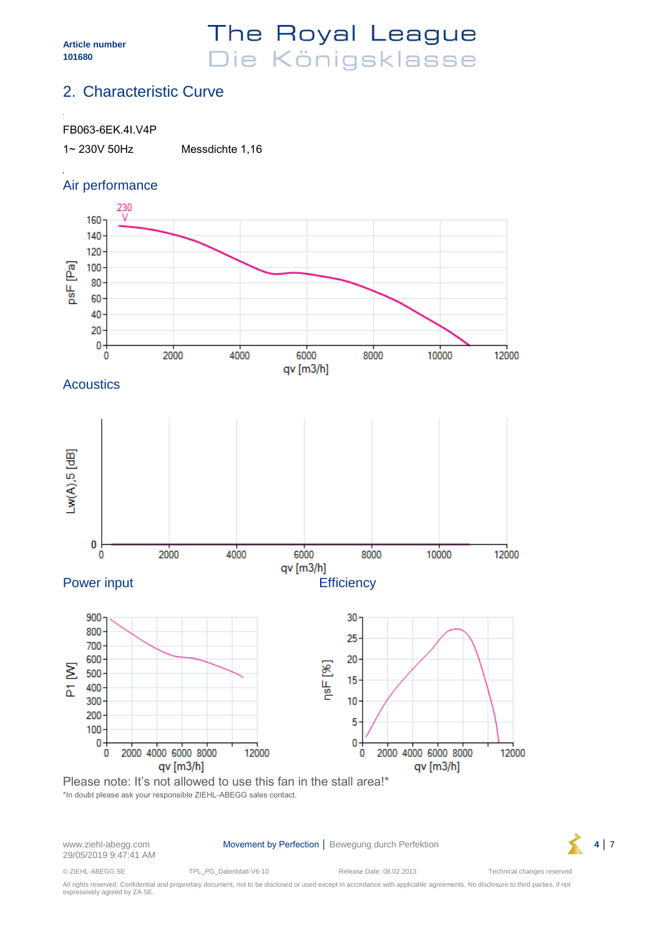## The Royal League Die Königsklasse

### <span id="page-3-0"></span>2. Characteristic Curve

#### FB063-6EK.4I.V4P

1~ 230V 50Hz Messdichte 1,16

### Air performance



\*In doubt please ask your responsible ZIEHL-ABEGG sales contact.

29/05/2019 9:47:41 AM

www.ziehl-abegg.com **Movement by Perfection** │ Bewegung durch Perfektion **4** │ 7



© ZIEHL-ABEGG SE TPL\_PG\_Datenblatt-V6-10 Release Date: 08.02.2013 Technical changes reserved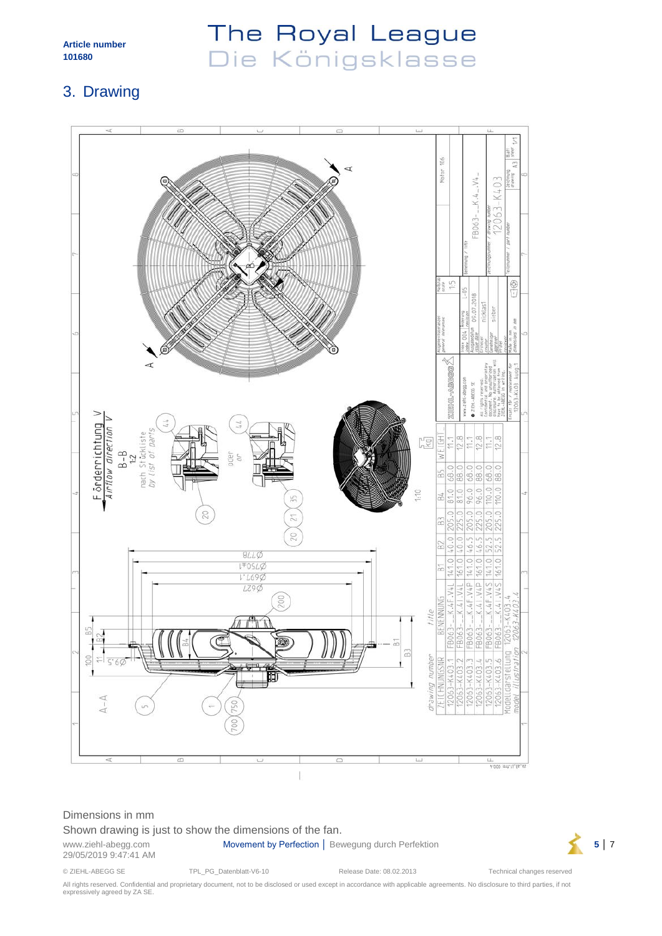## The Royal League Die Königsklasse

### <span id="page-4-0"></span>3. Drawing



#### Dimensions in mm

Shown drawing is just to show the dimensions of the fan.

29/05/2019 9:47:41 AM

www.ziehl-abegg.com **Movement by Perfection** │ Bewegung durch Perfektion **5** │ 7



© ZIEHL-ABEGG SE TPL\_PG\_Datenblatt-V6-10 Release Date: 08.02.2013 Technical changes reserved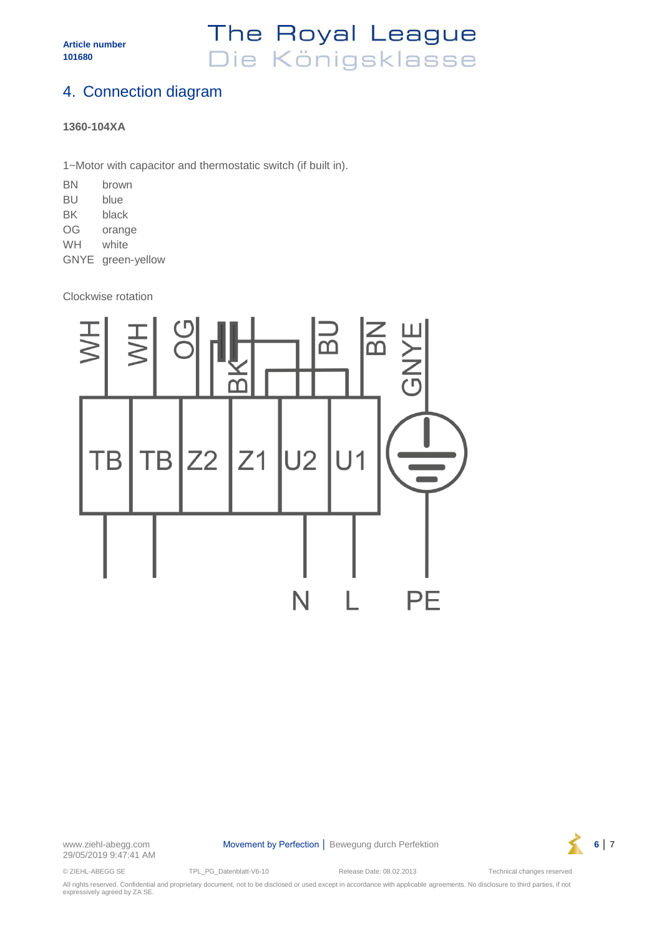## The Royal League Die Königsklasse

### <span id="page-5-0"></span>4. Connection diagram

#### **1360-104XA**

1~Motor with capacitor and thermostatic switch (if built in).

| ΒN          | brown        |
|-------------|--------------|
| BU          | blue         |
| BK          | black        |
| OG          | orange       |
| WH          | white        |
| <b>GNYE</b> | green-yellow |

Clockwise rotation



29/05/2019 9:47:41 AM

www.ziehl-abegg.com **Movement by Perfection │ Bewegung durch Perfektion 6** │ 7



© ZIEHL-ABEGG SE TPL\_PG\_Datenblatt-V6-10 Release Date: 08.02.2013 Technical changes reserved